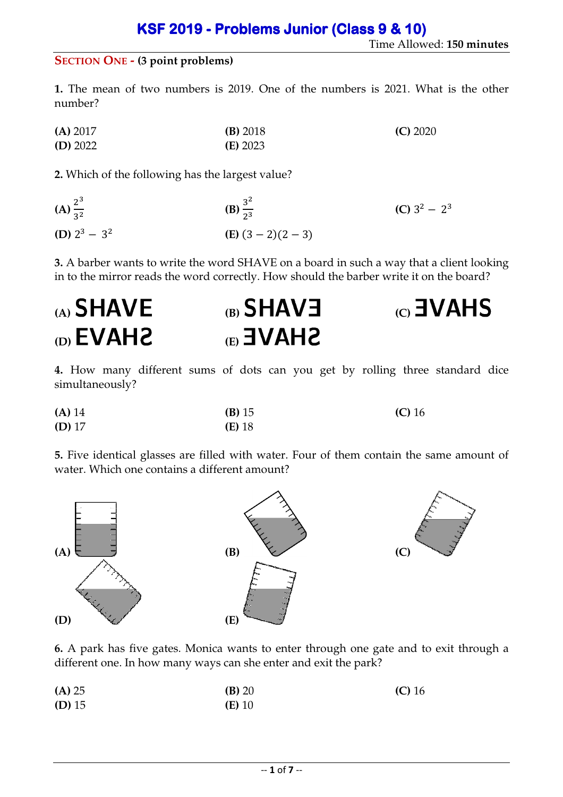### **SECTION ONE - (3 point problems)**

**1.** The mean of two numbers is 2019. One of the numbers is 2021. What is the other number?

**(A)** 2017 **(B)** 2018 **(C)** 2020 **(D)** 2022 **(E)** 2023

**2.** Which of the following has the largest value?

| $(A) \frac{2^3}{3^2}$ | (B) $\frac{3^2}{2^3}$     | (C) $3^2 - 2^3$ |
|-----------------------|---------------------------|-----------------|
| (D) $2^3 - 3^2$       | ( <b>E</b> ) $(3-2)(2-3)$ |                 |

**3.** A barber wants to write the word SHAVE on a board in such a way that a client looking in to the mirror reads the word correctly. How should the barber write it on the board?

| $_{(A)}$ SHAVE                    | $(B)$ SHAVE  | $_{\text{CO}}$ $\text{3VAHS}$ |
|-----------------------------------|--------------|-------------------------------|
| $_{\text{(D)}}$ EVAH <sub>2</sub> | <b>SHAVE</b> |                               |

**4.** How many different sums of dots can you get by rolling three standard dice simultaneously?

| (A) 14   | (B) 15   | $(C)$ 16 |
|----------|----------|----------|
| $(D)$ 17 | $(E)$ 18 |          |

**5.** Five identical glasses are filled with water. Four of them contain the same amount of water. Which one contains a different amount?



**6.** A park has five gates. Monica wants to enter through one gate and to exit through a different one. In how many ways can she enter and exit the park?

| (A) 25   | (B) 20   | $(C)$ 16 |
|----------|----------|----------|
| $(D)$ 15 | $(E)$ 10 |          |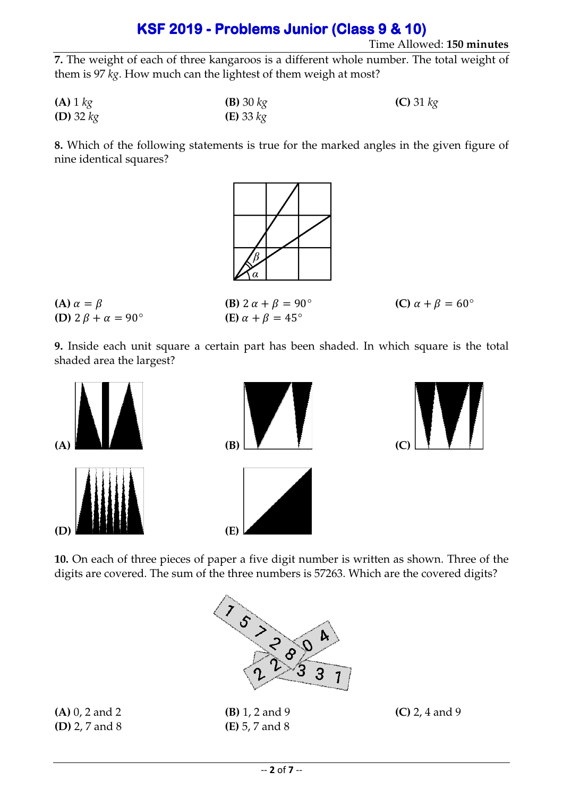#### Time Allowed: **150 minutes**

**7.** The weight of each of three kangaroos is a different whole number. The total weight of them is 97 *kg*. How much can the lightest of them weigh at most?

| $(A)$ 1 $kg$       | <b>(B)</b> 30 $kg$   | (C) 31 $kg$ |
|--------------------|----------------------|-------------|
| <b>(D)</b> 32 $kg$ | ( <b>E</b> ) 33 $kg$ |             |

**8.** Which of the following statements is true for the marked angles in the given figure of nine identical squares?



**(A)**  $\alpha = \beta$  **(B)**  $2 \alpha + \beta = 90^{\circ}$  **(C)**  $\alpha + \beta = 60^{\circ}$ **(D)**  $2 \beta + \alpha = 90^{\circ}$  **(E)**  $\alpha + \beta = 45^{\circ}$ 

**9.** Inside each unit square a certain part has been shaded. In which square is the total shaded area the largest?



**10.** On each of three pieces of paper a five digit number is written as shown. Three of the digits are covered. The sum of the three numbers is 57263. Which are the covered digits?



**(A)** 0, 2 and 2 **(B)** 1, 2 and 9 **(C)** 2, 4 and 9 **(D)** 2, 7 and 8 **(E)** 5, 7 and 8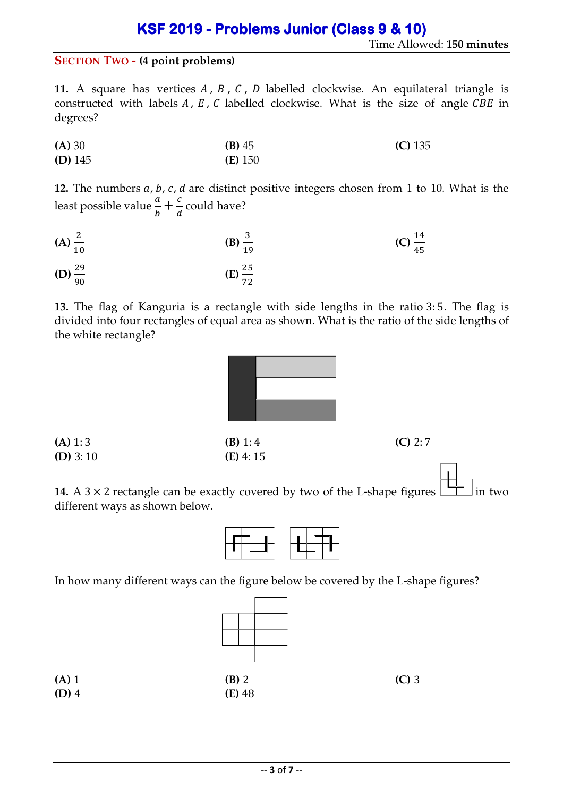#### **SECTION TWO - (4 point problems)**

**11.** A square has vertices  $A$ ,  $B$ ,  $C$ ,  $D$  labelled clockwise. An equilateral triangle is constructed with labels  $A$ ,  $E$ ,  $C$  labelled clockwise. What is the size of angle  $CBE$  in degrees?

| (A) 30    | $(B)$ 45  | $(C)$ 135 |
|-----------|-----------|-----------|
| $(D)$ 145 | $(E)$ 150 |           |

**12.** The numbers a, b, c, d are distinct positive integers chosen from 1 to 10. What is the least possible value  $\frac{a}{b} + \frac{c}{d}$  $\frac{1}{d}$  could have?

(A) 
$$
\frac{2}{10}
$$
 (B)  $\frac{3}{19}$  (C)  $\frac{14}{45}$ 

(D) 
$$
\frac{29}{90}
$$
 (E)  $\frac{25}{72}$ 

**13.** The flag of Kanguria is a rectangle with side lengths in the ratio 3: 5. The flag is divided into four rectangles of equal area as shown. What is the ratio of the side lengths of the white rectangle?

| (A) 1:3    | (B) 1:4    | (C) 2:7 |
|------------|------------|---------|
| $(D)$ 3:10 | $(E)$ 4:15 |         |

**14.** A 3  $\times$  2 rectangle can be exactly covered by two of the L-shape figures  $\boxed{\phantom{a}}$  in two different ways as shown below.



In how many different ways can the figure below be covered by the L-shape figures?

|                |                   | $(C)$ 3 |
|----------------|-------------------|---------|
| (A) 1<br>(D) 4 | (B) 2<br>(E) $48$ |         |
|                |                   |         |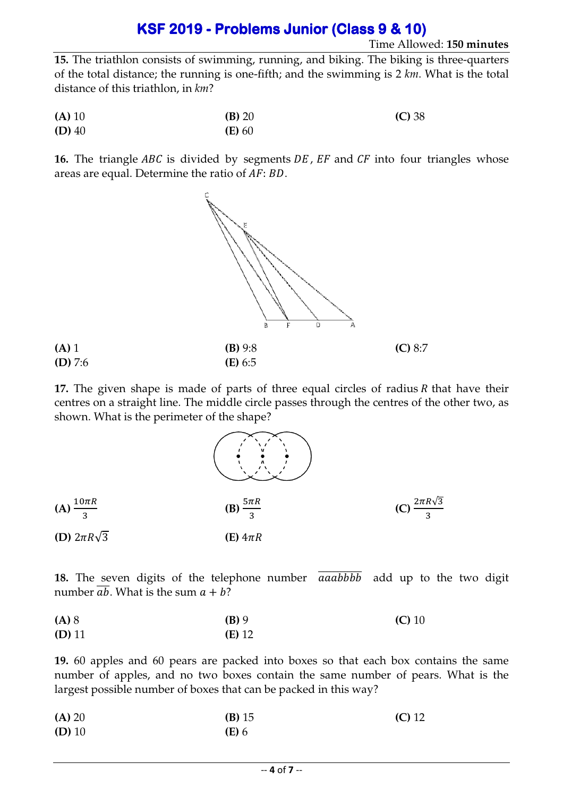#### Time Allowed: **150 minutes**

**15.** The triathlon consists of swimming, running, and biking. The biking is three-quarters of the total distance; the running is one-fifth; and the swimming is 2 km. What is the total distance of this triathlon, in *km* ?

| (A) 10   | (B) 20   | (C) 38 |
|----------|----------|--------|
| $(D)$ 40 | $(E)$ 60 |        |

**16.** The triangle ABC is divided by segments DE, EF and CF into four triangles whose areas are equal. Determine the ratio of  $AF: BD$ .



17. The given shape is made of parts of three equal circles of radius  $R$  that have their centres on a straight line. The middle circle passes through the centres of the other two, as shown. What is the perimeter of the shape?



**18.** The seven digits of the telephone number  $\overline{aaabbbb}$  add up to the two digit number  $\overline{ab}$ . What is the sum  $a + b$ ?

| (A) 8    | $(B)$ 9  | $(C)$ 10 |
|----------|----------|----------|
| $(D)$ 11 | $(E)$ 12 |          |

**19.** 60 apples and 60 pears are packed into boxes so that each box contains the same number of apples, and no two boxes contain the same number of pears. What is the largest possible number of boxes that can be packed in this way?

| (A) 20   | (B) 15       | $(C)$ 12 |
|----------|--------------|----------|
| $(D)$ 10 | <b>(E)</b> 6 |          |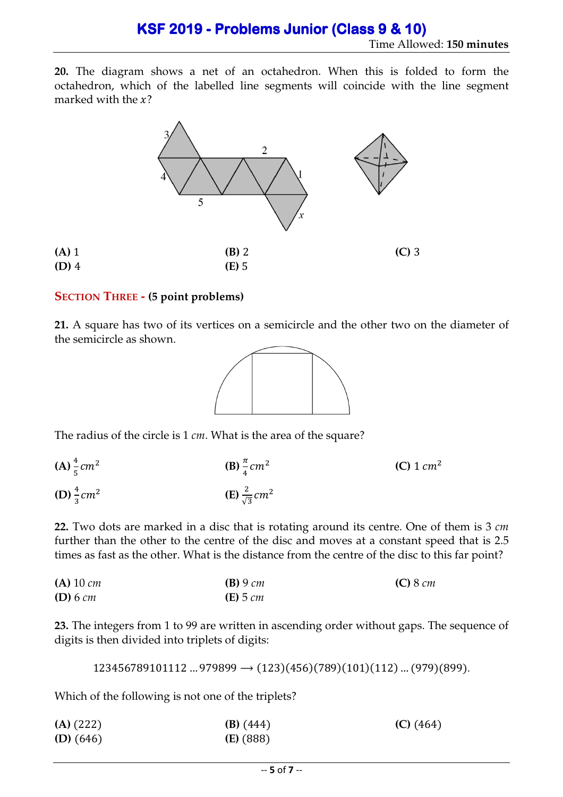**20.** The diagram shows a net of an octahedron. When this is folded to form the octahedron, which of the labelled line segments will coincide with the line segment marked with the  $x$ ?



### **SECTION THREE - (5 point problems)**

**21.** A square has two of its vertices on a semicircle and the other two on the diameter of the semicircle as shown.



The radius of the circle is 1 *cm*. What is the area of the square?

 $(A) \frac{4}{5} cm^2$ **(B)**  $\frac{\pi}{4}$  cm<sup>2</sup> **(C)** 1  $cm^2$ **(D)**  $\frac{4}{3}$   $cm^2$ **(E)**  $\frac{2}{\sqrt{3}}$  cm<sup>2</sup>

**22.** Two dots are marked in a disc that is rotating around its centre. One of them is 3 *cm* further than the other to the centre of the disc and moves at a constant speed that is 2.5 times as fast as the other. What is the distance from the centre of the disc to this far point?

**(A)** 10 *cm* **(B)** 9 *cm* **(C)** 8 *cm* **(D)** 6 *cm* **(E)** 5 *cm*

**23.** The integers from 1 to 99 are written in ascending order without gaps. The sequence of digits is then divided into triplets of digits:

 $123456789101112$  ...  $979899 \rightarrow (123)(456)(789)(101)(112)$  ...  $(979)(899)$ .

Which of the following is not one of the triplets?

| $(A)$ (222) | $(B)$ (444) | $(C)$ (464) |
|-------------|-------------|-------------|
| $(D)$ (646) | $(E)$ (888) |             |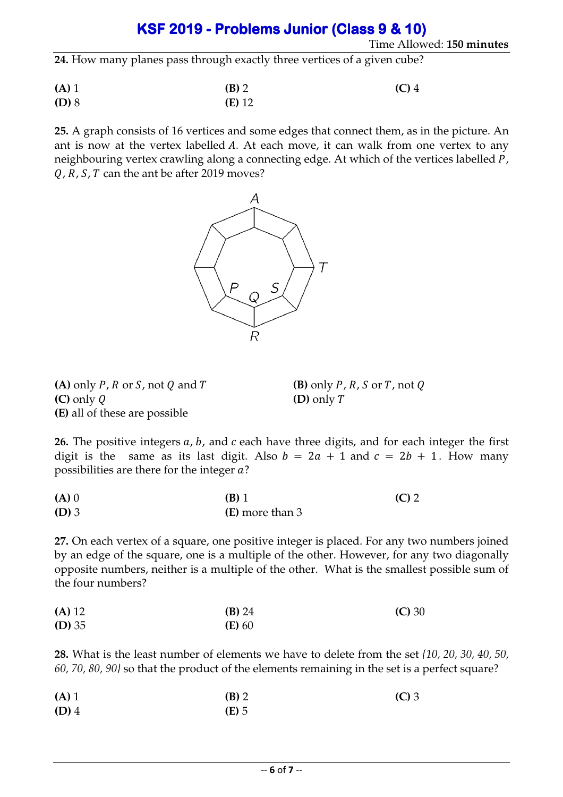Time Allowed: **150 minutes**

**24.** How many planes pass through exactly three vertices of a given cube?

**(A)** 1 **(B)** 2 **(C)** 4 **(D)** 8 **(E)** 12

**25.** A graph consists of 16 vertices and some edges that connect them, as in the picture. An ant is now at the vertex labelled  $A$ . At each move, it can walk from one vertex to any neighbouring vertex crawling along a connecting edge. At which of the vertices labelled P,  $Q, R, S, T$  can the ant be after 2019 moves?



**(A)** only P, R or S, not Q and T  $(B)$  only P, R, S or T, not Q **(C)** only  $Q$  **(D)** only  $T$ **(E)** all of these are possible

26. The positive integers a, b, and c each have three digits, and for each integer the first digit is the same as its last digit. Also  $b = 2a + 1$  and  $c = 2b + 1$ . How many possibilities are there for the integer  $a$ ?

| $(A)$ 0 | $(B)$ 1         | $(C)$ 2 |
|---------|-----------------|---------|
| $(D)$ 3 | (E) more than 3 |         |

**27.** On each vertex of a square, one positive integer is placed. For any two numbers joined by an edge of the square, one is a multiple of the other. However, for any two diagonally opposite numbers, neither is a multiple of the other. What is the smallest possible sum of the four numbers?

| (A) 12   | $(B)$ 24 | (C) 30 |
|----------|----------|--------|
| $(D)$ 35 | $(E)$ 60 |        |

**28.** What is the least number of elements we have to delete from the set *{10, 20, 30, 40, 50, 60, 70, 80, 90}* so that the product of the elements remaining in the set is a perfect square?

| $(A)$ 1 | $(B)$ 2 | $(C)$ 3 |
|---------|---------|---------|
| $(D)$ 4 | $(E)$ 5 |         |